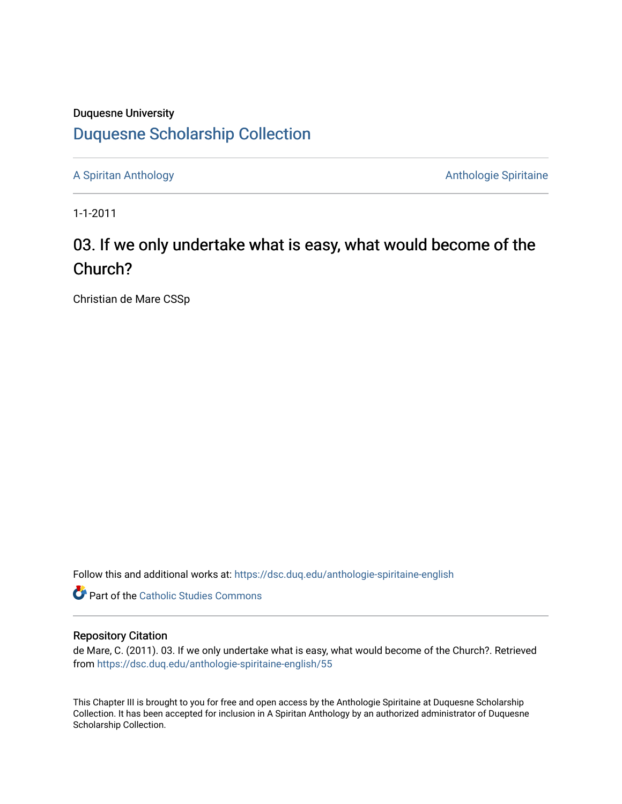## Duquesne University [Duquesne Scholarship Collection](https://dsc.duq.edu/)

[A Spiritan Anthology](https://dsc.duq.edu/anthologie-spiritaine-english) **Anthology** Anthologie Spiritaine

1-1-2011

# 03. If we only undertake what is easy, what would become of the Church?

Christian de Mare CSSp

Follow this and additional works at: [https://dsc.duq.edu/anthologie-spiritaine-english](https://dsc.duq.edu/anthologie-spiritaine-english?utm_source=dsc.duq.edu%2Fanthologie-spiritaine-english%2F55&utm_medium=PDF&utm_campaign=PDFCoverPages)

**Part of the [Catholic Studies Commons](http://network.bepress.com/hgg/discipline/1294?utm_source=dsc.duq.edu%2Fanthologie-spiritaine-english%2F55&utm_medium=PDF&utm_campaign=PDFCoverPages)** 

#### Repository Citation

de Mare, C. (2011). 03. If we only undertake what is easy, what would become of the Church?. Retrieved from [https://dsc.duq.edu/anthologie-spiritaine-english/55](https://dsc.duq.edu/anthologie-spiritaine-english/55?utm_source=dsc.duq.edu%2Fanthologie-spiritaine-english%2F55&utm_medium=PDF&utm_campaign=PDFCoverPages)

This Chapter III is brought to you for free and open access by the Anthologie Spiritaine at Duquesne Scholarship Collection. It has been accepted for inclusion in A Spiritan Anthology by an authorized administrator of Duquesne Scholarship Collection.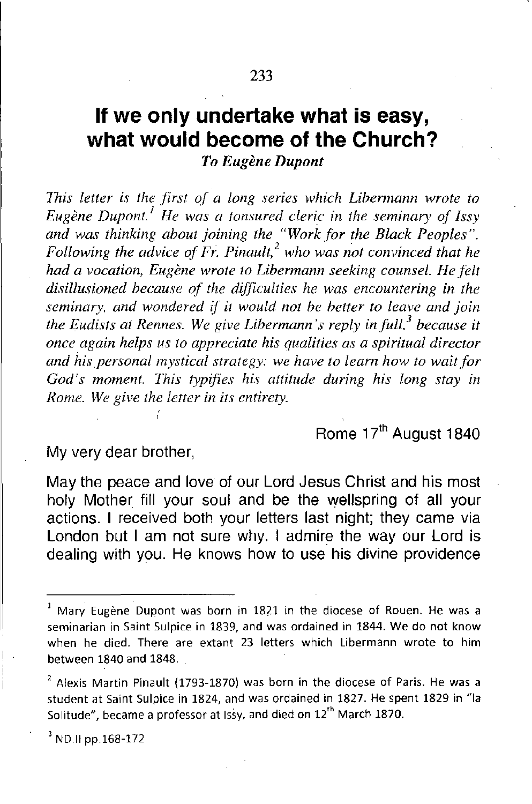### **If we only undertake what is easy, what would become of the Church?** *To Eugene Dupont*

*This letter is the first of a long series which Libermann wrote to Eugene Dupont.' He was a tonsured cleric in the seminary of Issy and was thinking about joining the "Work for the Black Peoples". Following the advice of Fr. Pinault, <sup>2</sup> who was not convinced that he had a vocation, Eugene wrote to Libermann seeking counsel. He felt disillusioned because of the difficulties he was encountering in the seminary, and wondered if it would not be better to leave and join the Eudists at Rennes. We give Libermann's reply in full.* <sup>3</sup> *because it once again helps us to appreciate his qualities as a spiritual director and his personal mystical strategy: we have to learn how to wait for God's moment. This typifies his attitude during his long stay in Rome. We give the letter in its entirety.*

Rome 17<sup>th</sup> August 1840

My very dear brother,

May the peace and love of our Lord Jesus Christ and his most holy Mother fill your soul and be the wellspring of all your actions. I received both your letters last night; they came via London but I am not sure why. I admire the way our Lord is dealing with you. He knows how to use his divine providence

 $3$  ND.II pp.168-172

<sup>1</sup> **Mary' Eugene Dupont was born in 1821 in the diocese of Rauen. He was a seminarian in Saint Sulpice in 1839, and was ordained in 1844. We do not know** when he died. There are extant 23 letters which Libermann wrote to him between 1840 and 1848.

 $^2$  Alexis Martin Pinault (1793-1870) was born in the diocese of Paris. He was a student at Saint Sulpice in 1824, and was ordained in 1827. He spent 1829 in "Ia **Solitude", became <sup>a</sup> professor at Issy, and died on lih March 1870.**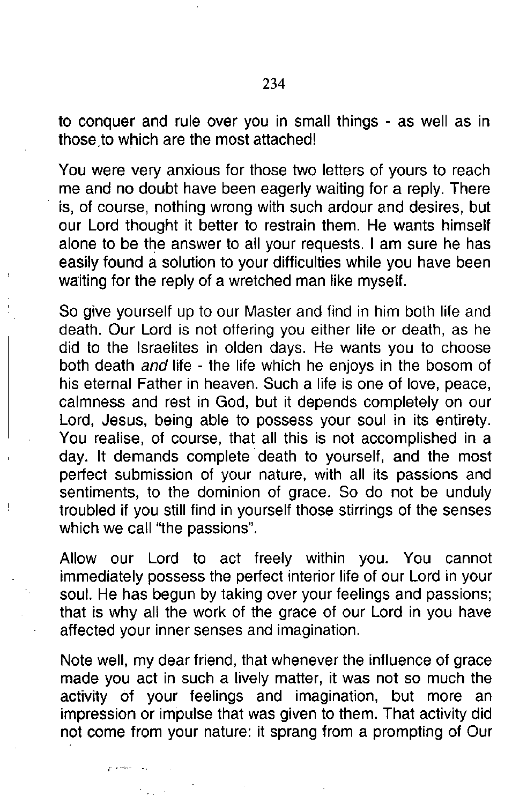to conquer and rule over you in small things - as well as in those to which are the most attached!

You were very anxious for those two letters of yours to reach me and no doubt have been eagerly waiting for a reply. There is, of course, nothing wrong with such ardour and desires, but our Lord thought it better to restrain them. He wants himself alone to be the answer to all your requests. I am sure he has easily found a solution to your difficulties while you have been waiting for the reply of a wretched man like myself.

So give yourself up to our Master and find in him both life and death. Our Lord is not offering you either life or death, as he did to the Israelites in olden days. He wants you to choose both death *and* life - the life which he enjoys in the bosom of his eternal Father in heaven. Such a life is one of love, peace, calmness and rest in God, but it depends completely on our Lord, Jesus, being able to possess your soul in its entirety. You realise, of course, that all this is not accomplished in a day. It demands complete death to yourself, and the most perfect submission of your nature, with all its passions and sentiments, to the dominion of grace. So do not be unduly troubled if you still find in yourself those stirrings of the senses which we call "the passions".

Allow our Lord to act freely within you. You cannot immediately possess the perfect interior life of our Lord in your soul. He has begun by taking over your feelings and passions; that is why all the work of the grace of our Lord in you have affected your inner senses and imagination.

Note well, my dear friend, that whenever the influence of grace made you act in such a lively matter, it was not so much the activity of your feelings and imagination, but more an impression or impulse that was given to them. That activity did not come from your nature: it sprang from a prompting of Our

/" -,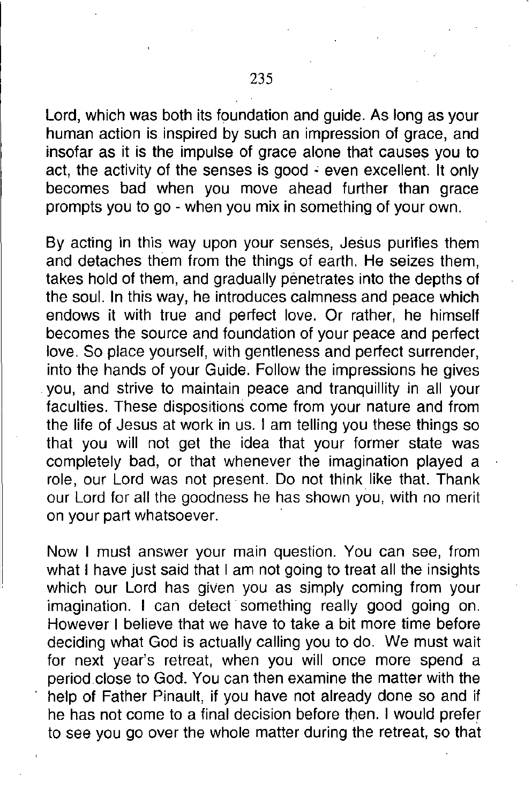Lord, which was both its foundation and guide. As long as your human action is inspired by such an impression of grace, and insofar as it is the impulse of grace alone that causes you to act, the activity of the senses is good - even excellent. It only becomes bad when you move ahead further than grace prompts you to go - when you mix in something of your own.

By acting in this way upon your senses, Jesus purifies them and detaches them from the things of earth. He seizes them, takes hold of them, and gradually penetrates into the depths of the soul. **In** this way, he introduces calmness and peace which endows it with true and perfect love. Or rather, he himself becomes the source and foundation of your peace and perfect love. So place yourself, with gentleness and perfect surrender, into the hands of your Guide. Follow the impressions he gives you, and strive to maintain peace and tranquillity in all your faculties. These dispositions come from your nature and from the life of Jesus at work in us. I am telling you these things so that you will not get the idea that your former state was completely bad, or that whenever the imagination played a role, our Lord was not present. Do not think like that. Thank our Lord for all the goodness he has shown you, with no merit on your part whatsoever.

Now I must answer your main question. You can see, from what I have just said that I am not going to treat all the insights which our Lord has given you as simply coming from your imagination. I can detect something really good going on. However I believe that we have to take a bit more time before deciding what God is actually calling you to do. We must wait for next year's retreat, when you will once more spend a period close to God. You can then examine the matter with the help of Father Pinault, if you have not already done so and if he has not come to a final decision before then. I would prefer to see you go over the whole matter during the retreat, so that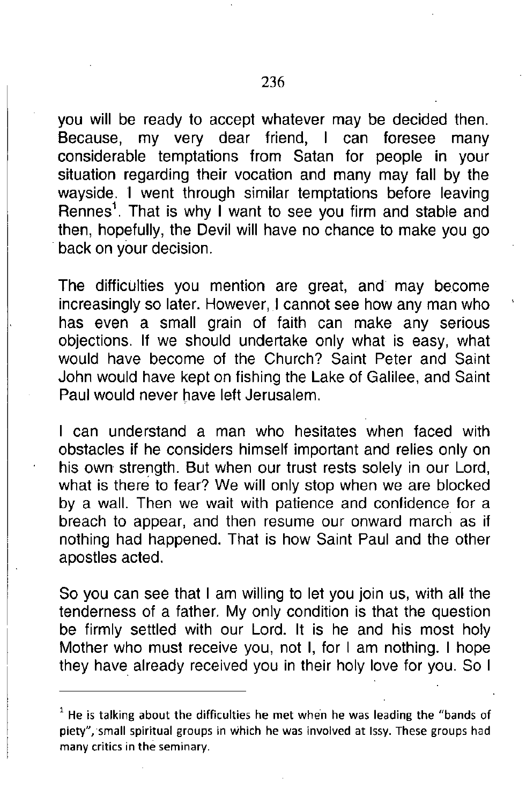you will be ready to accept whatever may be decided then. Because, my very dear friend, I can foresee many considerable temptations from Satan for people in your situation regarding their vocation and many may fall by the wayside. I went through similar temptations before leaving Rennes<sup>1</sup>. That is why I want to see you firm and stable and then, hopefully, the Devil will have no chance to make you go back on your decision.

The difficulties you mention are great, and may become increasingly so later. However, I cannot see how any man who has even a small grain of faith can make any serious objections. If we should undertake only what is easy, what would have become of the Church? Saint Peter and Saint John would have kept on fishing the Lake of Galilee, and Saint Paul would never have left Jerusalem.

I can understand a man who hesitates when faced with obstacles if he considers himself important and relies only on his own strength. But when our trust rests solely in our Lord, what is there to fear? We will only stop when we are blocked by a wall. Then we wait with patience and confidence for a breach to appear, and then resume our onward march as if nothing had happened. That is how Saint Paul and the other apostles acted.

So you can see that I am willing to let you join us, with all the tenderness of a father. My only condition is that the question be firmly settled with our Lord. **It** is he and his most holy Mother who must receive you, not **I,** for I am nothing. I hope they have already received you in their holy love for you. So I

 $1$  He is talking about the difficulties he met when he was leading the "bands of piety", small spiritual groups in which he was involved at Issy. These groups had **many critics in the seminary.**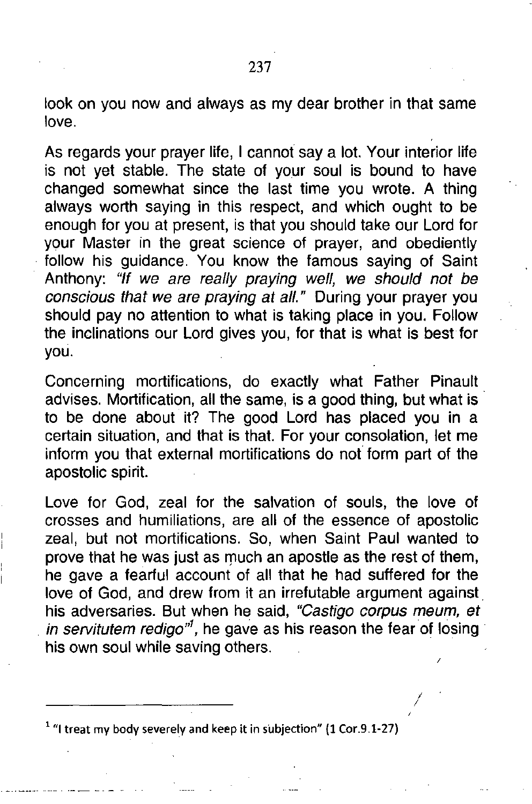look on you now and always as my dear brother in that same love.

As regards your prayer life, I cannot say a lot. Your interior life is not yet stable. The state of your soul is bound to have changed somewhat since the last time you wrote. A thing always worth saying in this respect, and which ought to be enough for you at present, is that you should take our Lord for your Master in the great science of prayer, and obediently follow his guidance. You know the famous saying of Saint Anthony: *"If* we *are really praying well,* we *should not be conscious that* we *are praying at all."* During your prayer you should pay no attention to what is taking place in you. Follow the inclinations our Lord gives you, for that is what is best for you.

Concerning mortifications, do exactly what Father Pinault advises. Mortification, all the same, is a good thing, but what is to be done about it? The good Lord has placed you in a certain situation, and that is that. For your consolation, let me inform you that external mortifications do not form part of the apostolic spirit.

Love for God, zeal for the salvation of souls, the love of crosses and humiliations, are all of the essence of apostolic zeal, but not mortifications. So, when Saint Paul wanted to prove that he was just as much an apostle as the rest of them, he gave a fearful account of all that he had suffered for the love of God, and drew from it an irrefutable argument against his adversaries. But when he said, *"Castigo corpus meum, et in servitutem redigo"l,* he gave as his reason the fear of losing his own soul while saving others.

*I*

 $<sup>1</sup>$  "I treat my body severely and keep it in subjection" (1 Cor.9.1-27)</sup>